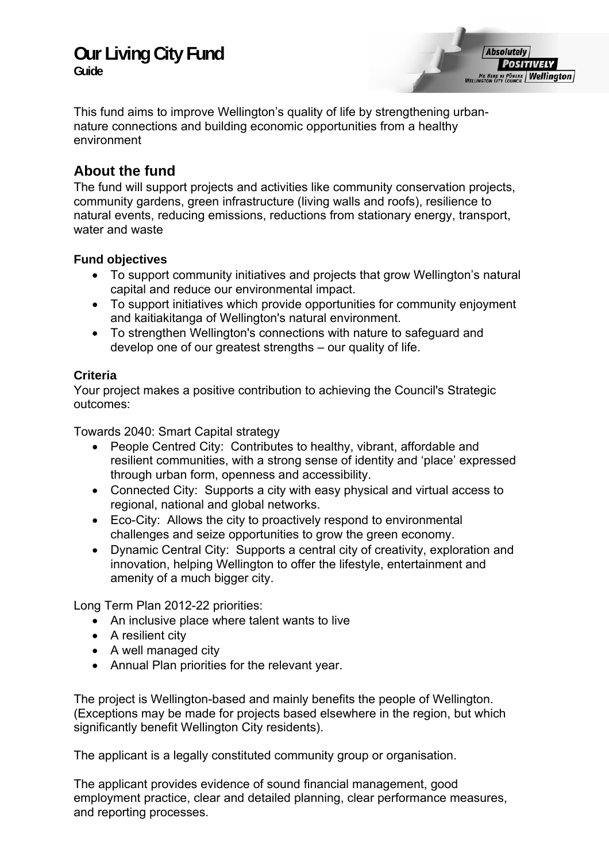# **Our Living City Fund**

**Guide** 

**Absolutely POSITIVELY ME HEKE KI PÔNEKE | Wellington** 

This fund aims to improve Wellington's quality of life by strengthening urbannature connections and building economic opportunities from a healthy environment

# **About the fund**

The fund will support projects and activities like community conservation projects, community gardens, green infrastructure (living walls and roofs), resilience to natural events, reducing emissions, reductions from stationary energy, transport, water and waste

# **Fund objectives**

- To support community initiatives and projects that grow Wellington's natural capital and reduce our environmental impact.
- To support initiatives which provide opportunities for community enjoyment and kaitiakitanga of Wellington's natural environment.
- To strengthen Wellington's connections with nature to safeguard and develop one of our greatest strengths – our quality of life.

# **Criteria**

Your project makes a positive contribution to achieving the Council's Strategic outcomes:

Towards 2040: Smart Capital strategy

- People Centred City: Contributes to healthy, vibrant, affordable and resilient communities, with a strong sense of identity and 'place' expressed through urban form, openness and accessibility.
- Connected City: Supports a city with easy physical and virtual access to regional, national and global networks.
- Eco-City: Allows the city to proactively respond to environmental challenges and seize opportunities to grow the green economy.
- Dynamic Central City: Supports a central city of creativity, exploration and innovation, helping Wellington to offer the lifestyle, entertainment and amenity of a much bigger city.

Long Term Plan 2012-22 priorities:

- An inclusive place where talent wants to live
- A resilient city
- A well managed city
- Annual Plan priorities for the relevant year.

The project is Wellington-based and mainly benefits the people of Wellington. (Exceptions may be made for projects based elsewhere in the region, but which significantly benefit Wellington City residents).

The applicant is a legally constituted community group or organisation.

The applicant provides evidence of sound financial management, good employment practice, clear and detailed planning, clear performance measures, and reporting processes.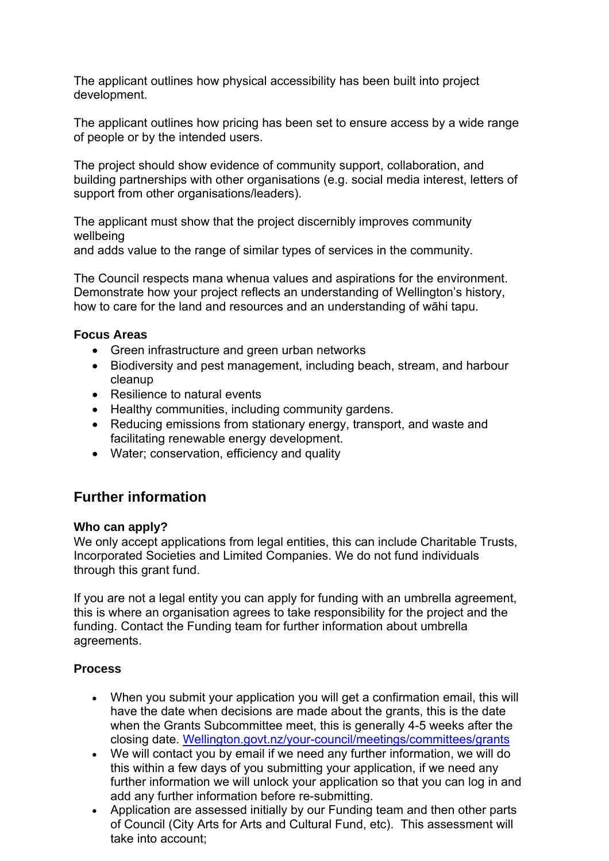The applicant outlines how physical accessibility has been built into project development.

The applicant outlines how pricing has been set to ensure access by a wide range of people or by the intended users.

The project should show evidence of community support, collaboration, and building partnerships with other organisations (e.g. social media interest, letters of support from other organisations/leaders).

The applicant must show that the project discernibly improves community wellbeing

and adds value to the range of similar types of services in the community.

The Council respects mana whenua values and aspirations for the environment. Demonstrate how your project reflects an understanding of Wellington's history, how to care for the land and resources and an understanding of wāhi tapu.

#### **Focus Areas**

- Green infrastructure and green urban networks
- Biodiversity and pest management, including beach, stream, and harbour cleanup
- Resilience to natural events
- Healthy communities, including community gardens.
- Reducing emissions from stationary energy, transport, and waste and facilitating renewable energy development.
- Water; conservation, efficiency and quality

# **Further information**

#### **Who can apply?**

We only accept applications from legal entities, this can include Charitable Trusts, Incorporated Societies and Limited Companies. We do not fund individuals through this grant fund.

If you are not a legal entity you can apply for funding with an umbrella agreement, this is where an organisation agrees to take responsibility for the project and the funding. Contact the Funding team for further information about umbrella agreements.

#### **Process**

- When you submit your application you will get a confirmation email, this will have the date when decisions are made about the grants, this is the date when the Grants Subcommittee meet, this is generally 4-5 weeks after the closing date. Wellington.govt.nz/your-council/meetings/committees/grants
- We will contact you by email if we need any further information, we will do this within a few days of you submitting your application, if we need any further information we will unlock your application so that you can log in and add any further information before re-submitting.
- Application are assessed initially by our Funding team and then other parts of Council (City Arts for Arts and Cultural Fund, etc). This assessment will take into account;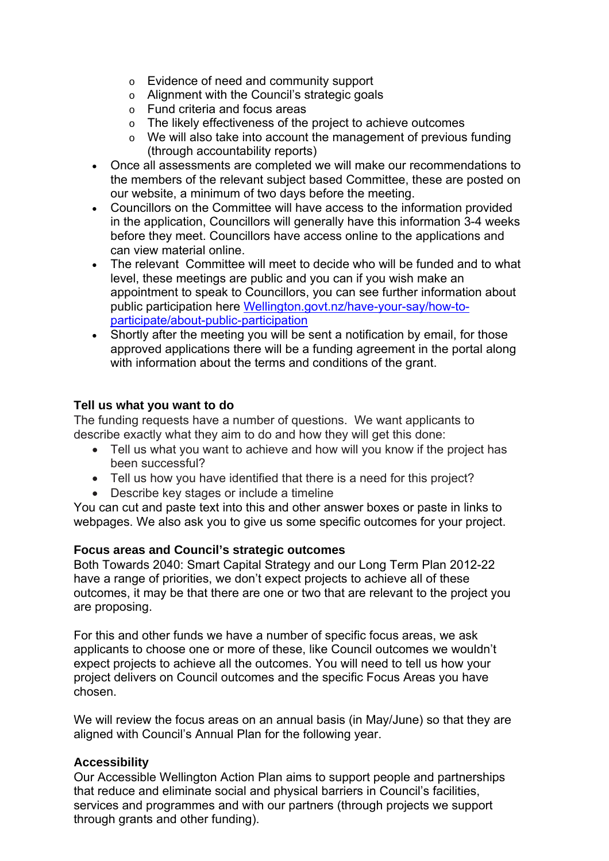- o Evidence of need and community support
- o Alignment with the Council's strategic goals
- o Fund criteria and focus areas
- o The likely effectiveness of the project to achieve outcomes
- o We will also take into account the management of previous funding (through accountability reports)
- Once all assessments are completed we will make our recommendations to the members of the relevant subject based Committee, these are posted on our website, a minimum of two days before the meeting.
- Councillors on the Committee will have access to the information provided in the application, Councillors will generally have this information 3-4 weeks before they meet. Councillors have access online to the applications and can view material online.
- The relevant Committee will meet to decide who will be funded and to what level, these meetings are public and you can if you wish make an appointment to speak to Councillors, you can see further information about public participation here [Wellington.govt.nz/have-your-say/how-to](http://wellington.govt.nz/have-your-say/how-to-participate/about-public-participation)[participate/about-public-participation](http://wellington.govt.nz/have-your-say/how-to-participate/about-public-participation)
- Shortly after the meeting you will be sent a notification by email, for those approved applications there will be a funding agreement in the portal along with information about the terms and conditions of the grant.

#### **Tell us what you want to do**

The funding requests have a number of questions. We want applicants to describe exactly what they aim to do and how they will get this done:

- Tell us what you want to achieve and how will you know if the project has been successful?
- Tell us how you have identified that there is a need for this project?
- Describe key stages or include a timeline

You can cut and paste text into this and other answer boxes or paste in links to webpages. We also ask you to give us some specific outcomes for your project.

#### **Focus areas and Council's strategic outcomes**

Both Towards 2040: Smart Capital Strategy and our Long Term Plan 2012-22 have a range of priorities, we don't expect projects to achieve all of these outcomes, it may be that there are one or two that are relevant to the project you are proposing.

For this and other funds we have a number of specific focus areas, we ask applicants to choose one or more of these, like Council outcomes we wouldn't expect projects to achieve all the outcomes. You will need to tell us how your project delivers on Council outcomes and the specific Focus Areas you have chosen.

We will review the focus areas on an annual basis (in May/June) so that they are aligned with Council's Annual Plan for the following year.

#### **Accessibility**

Our Accessible Wellington Action Plan aims to support people and partnerships that reduce and eliminate social and physical barriers in Council's facilities, services and programmes and with our partners (through projects we support through grants and other funding).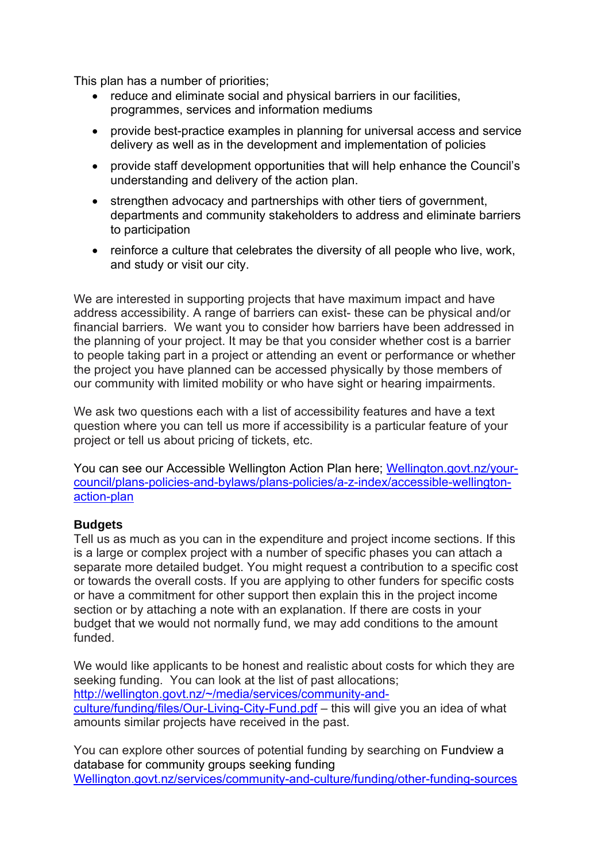This plan has a number of priorities;

- reduce and eliminate social and physical barriers in our facilities, programmes, services and information mediums
- provide best-practice examples in planning for universal access and service delivery as well as in the development and implementation of policies
- provide staff development opportunities that will help enhance the Council's understanding and delivery of the action plan.
- strengthen advocacy and partnerships with other tiers of government, departments and community stakeholders to address and eliminate barriers to participation
- reinforce a culture that celebrates the diversity of all people who live, work, and study or visit our city.

We are interested in supporting projects that have maximum impact and have address accessibility. A range of barriers can exist- these can be physical and/or financial barriers. We want you to consider how barriers have been addressed in the planning of your project. It may be that you consider whether cost is a barrier to people taking part in a project or attending an event or performance or whether the project you have planned can be accessed physically by those members of our community with limited mobility or who have sight or hearing impairments.

We ask two questions each with a list of accessibility features and have a text question where you can tell us more if accessibility is a particular feature of your project or tell us about pricing of tickets, etc.

You can see our Accessible Wellington Action Plan here; Wellington.govt.nz/yourcouncil/plans-policies-and-bylaws/plans-policies/a-z-index/accessible-wellingtonaction-plan

#### **Budgets**

Tell us as much as you can in the expenditure and project income sections. If this is a large or complex project with a number of specific phases you can attach a separate more detailed budget. You might request a contribution to a specific cost or towards the overall costs. If you are applying to other funders for specific costs or have a commitment for other support then explain this in the project income section or by attaching a note with an explanation. If there are costs in your budget that we would not normally fund, we may add conditions to the amount funded.

We would like applicants to be honest and realistic about costs for which they are seeking funding. You can look at the list of past allocations; http://wellington.govt.nz/~/media/services/community-andculture/funding/files/Our-Living-City-Fund.pdf – this will give you an idea of what amounts similar projects have received in the past.

You can explore other sources of potential funding by searching on Fundview a database for community groups seeking funding Wellington.govt.nz/services/community-and-culture/funding/other-funding-sources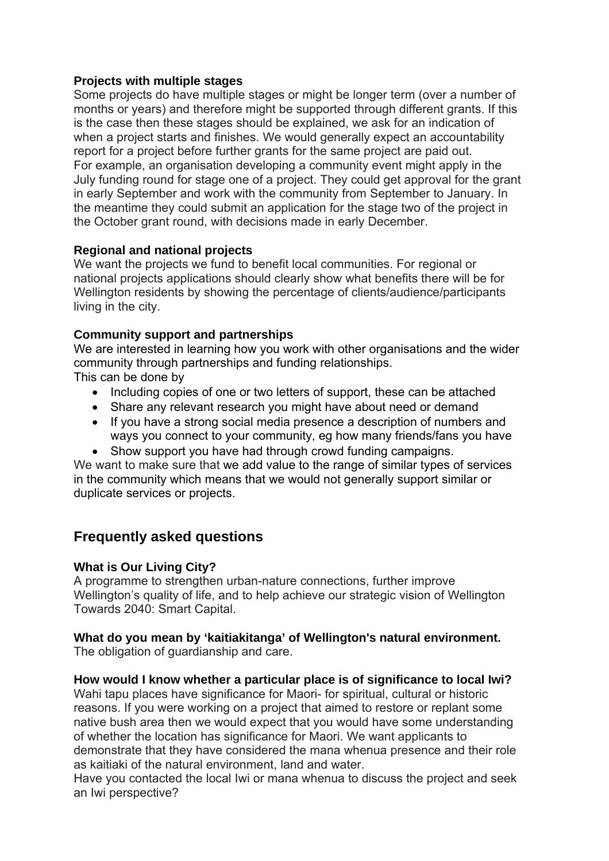#### **Projects with multiple stages**

Some projects do have multiple stages or might be longer term (over a number of months or years) and therefore might be supported through different grants. If this is the case then these stages should be explained, we ask for an indication of when a project starts and finishes. We would generally expect an accountability report for a project before further grants for the same project are paid out. For example, an organisation developing a community event might apply in the July funding round for stage one of a project. They could get approval for the grant in early September and work with the community from September to January. In the meantime they could submit an application for the stage two of the project in the October grant round, with decisions made in early December.

#### **Regional and national projects**

We want the projects we fund to benefit local communities. For regional or national projects applications should clearly show what benefits there will be for Wellington residents by showing the percentage of clients/audience/participants living in the city.

## **Community support and partnerships**

We are interested in learning how you work with other organisations and the wider community through partnerships and funding relationships. This can be done by

- Including copies of one or two letters of support, these can be attached
- Share any relevant research you might have about need or demand
- If you have a strong social media presence a description of numbers and ways you connect to your community, eg how many friends/fans you have
- Show support you have had through crowd funding campaigns.

We want to make sure that we add value to the range of similar types of services in the community which means that we would not generally support similar or duplicate services or projects.

# **Frequently asked questions**

## **What is Our Living City?**

A programme to strengthen urban-nature connections, further improve Wellington's quality of life, and to help achieve our strategic vision of Wellington Towards 2040: Smart Capital.

#### **What do you mean by 'kaitiakitanga' of Wellington's natural environment.**  The obligation of guardianship and care.

# **How would I know whether a particular place is of significance to local Iwi?**

Wahi tapu places have significance for Maori- for spiritual, cultural or historic reasons. If you were working on a project that aimed to restore or replant some native bush area then we would expect that you would have some understanding of whether the location has significance for Maori. We want applicants to demonstrate that they have considered the mana whenua presence and their role as kaitiaki of the natural environment, land and water.

Have you contacted the local Iwi or mana whenua to discuss the project and seek an Iwi perspective?